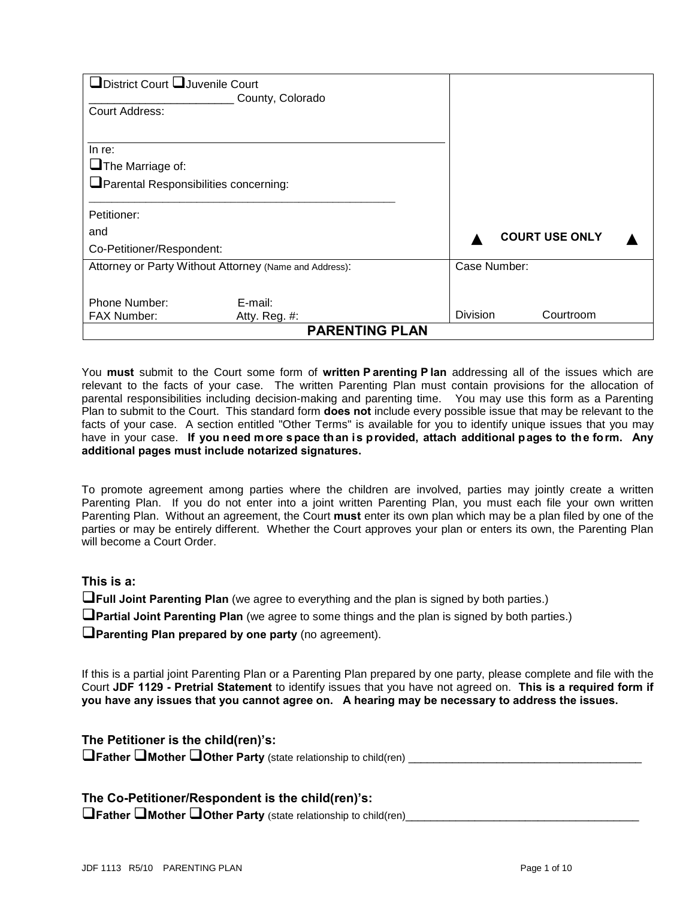| District Court UJuvenile Court<br>Court Address:                           | County, Colorado         |                 |                       |  |
|----------------------------------------------------------------------------|--------------------------|-----------------|-----------------------|--|
| In re:<br>$\Box$ The Marriage of:<br>Parental Responsibilities concerning: |                          |                 |                       |  |
| Petitioner:                                                                |                          |                 |                       |  |
| and                                                                        |                          |                 | <b>COURT USE ONLY</b> |  |
| Co-Petitioner/Respondent:                                                  |                          |                 |                       |  |
| Attorney or Party Without Attorney (Name and Address):                     |                          | Case Number:    |                       |  |
| Phone Number:<br><b>FAX Number:</b>                                        | E-mail:<br>Atty. Reg. #: | <b>Division</b> | Courtroom             |  |
|                                                                            | <b>PARENTING PLAN</b>    |                 |                       |  |

You **must** submit to the Court some form of **written P arenting P lan** addressing all of the issues which are relevant to the facts of your case. The written Parenting Plan must contain provisions for the allocation of parental responsibilities including decision-making and parenting time. You may use this form as a Parenting Plan to submit to the Court. This standard form **does not** include every possible issue that may be relevant to the facts of your case. A section entitled "Other Terms" is available for you to identify unique issues that you may have in your case. **If you need more space than is provided, attach additional pages to the form. Any additional pages must include notarized signatures.** 

To promote agreement among parties where the children are involved, parties may jointly create a written Parenting Plan. If you do not enter into a joint written Parenting Plan, you must each file your own written Parenting Plan. Without an agreement, the Court **must** enter its own plan which may be a plan filed by one of the parties or may be entirely different. Whether the Court approves your plan or enters its own, the Parenting Plan will become a Court Order.

#### **This is a:**

**Thall Joint Parenting Plan** (we agree to everything and the plan is signed by both parties.)

**Partial Joint Parenting Plan** (we agree to some things and the plan is signed by both parties.)

**Parenting Plan prepared by one party** (no agreement).

If this is a partial joint Parenting Plan or a Parenting Plan prepared by one party, please complete and file with the Court **JDF 1129 - Pretrial Statement** to identify issues that you have not agreed on. **This is a required form if you have any issues that you cannot agree on. A hearing may be necessary to address the issues.**

**The Petitioner is the child(ren)'s:**

**The Summer Conduct Facturer Party** (state relationship to child(ren) **Limitation Conduct** Facturers **Conduct** Facturers **Conduct** Facturers **Conductivers** Facturers **Conductivers** Facturers **Conductivers** Facturers Factur

**The Co-Petitioner/Respondent is the child(ren)'s:**

**Therry <b>Prather Pother Party** (state relationship to child(ren)\_\_\_\_\_\_\_\_\_\_\_\_\_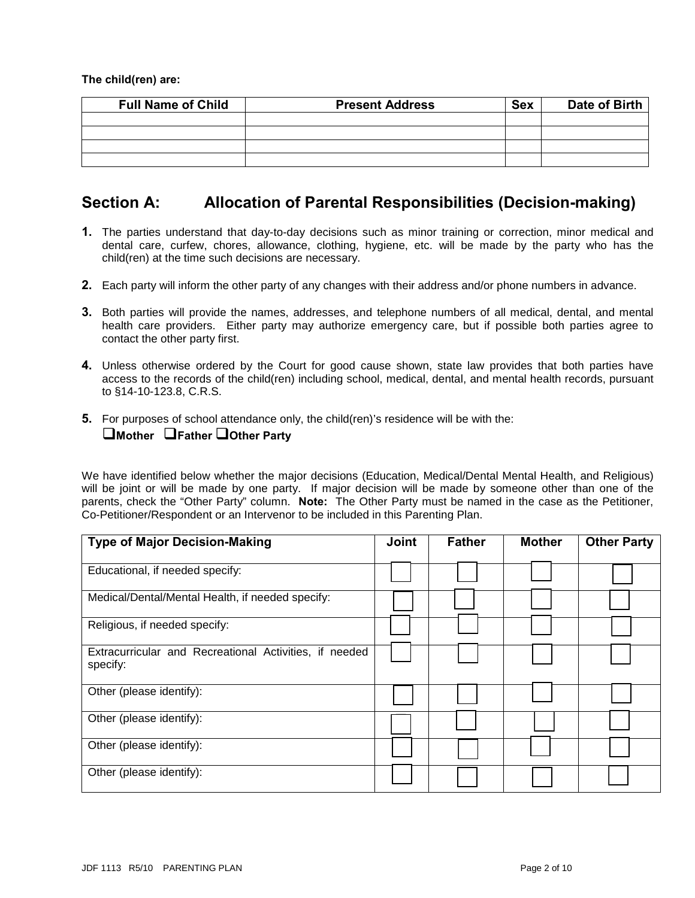**The child(ren) are:**

| <b>Full Name of Child</b> | <b>Present Address</b> | <b>Sex</b> | Date of Birth |
|---------------------------|------------------------|------------|---------------|
|                           |                        |            |               |
|                           |                        |            |               |
|                           |                        |            |               |
|                           |                        |            |               |

## **Section A: Allocation of Parental Responsibilities (Decision-making)**

- **1.** The parties understand that day-to-day decisions such as minor training or correction, minor medical and dental care, curfew, chores, allowance, clothing, hygiene, etc. will be made by the party who has the child(ren) at the time such decisions are necessary.
- **2.** Each party will inform the other party of any changes with their address and/or phone numbers in advance.
- **3.** Both parties will provide the names, addresses, and telephone numbers of all medical, dental, and mental health care providers. Either party may authorize emergency care, but if possible both parties agree to contact the other party first.
- **4.** Unless otherwise ordered by the Court for good cause shown, state law provides that both parties have access to the records of the child(ren) including school, medical, dental, and mental health records, pursuant to §14-10-123.8, C.R.S.
- **5.** For purposes of school attendance only, the child(ren)'s residence will be with the: **Mother Father Other Party**

We have identified below whether the major decisions (Education, Medical/Dental Mental Health, and Religious) will be joint or will be made by one party. If major decision will be made by someone other than one of the parents, check the "Other Party" column. **Note:** The Other Party must be named in the case as the Petitioner, Co-Petitioner/Respondent or an Intervenor to be included in this Parenting Plan.

| <b>Type of Major Decision-Making</b>                               | <b>Joint</b> | <b>Father</b> | <b>Mother</b> | <b>Other Party</b> |
|--------------------------------------------------------------------|--------------|---------------|---------------|--------------------|
| Educational, if needed specify:                                    |              |               |               |                    |
| Medical/Dental/Mental Health, if needed specify:                   |              |               |               |                    |
| Religious, if needed specify:                                      |              |               |               |                    |
| Extracurricular and Recreational Activities, if needed<br>specify: |              |               |               |                    |
| Other (please identify):                                           |              |               |               |                    |
| Other (please identify):                                           |              |               |               |                    |
| Other (please identify):                                           |              |               |               |                    |
| Other (please identify):                                           |              |               |               |                    |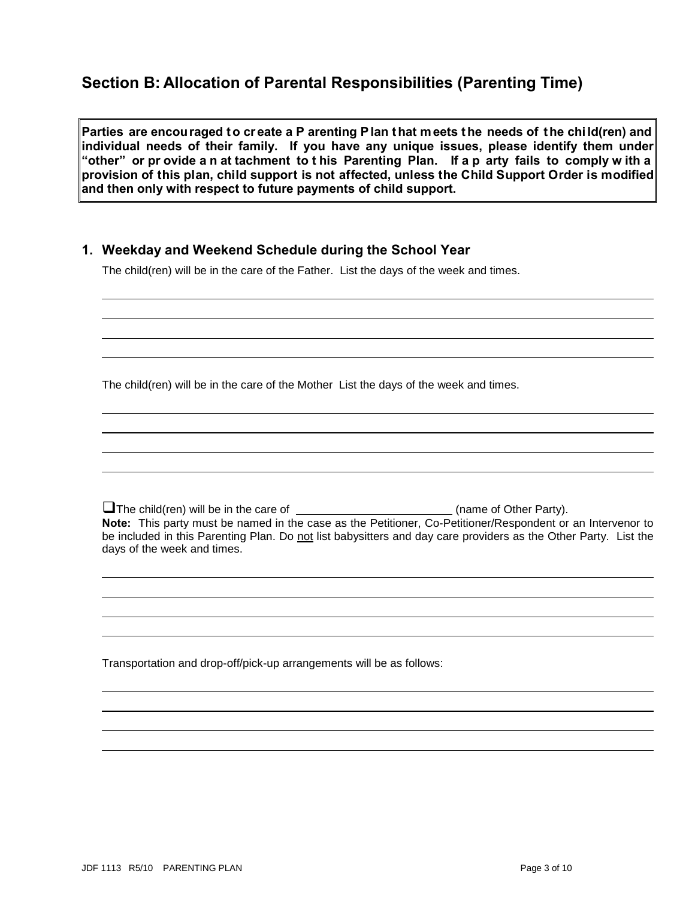# **Section B: Allocation of Parental Responsibilities (Parenting Time)**

Parties are encouraged to create a P arenting Plan that meets the needs of the child(ren) and **individual needs of their family. If you have any unique issues, please identify them under "other" or pr ovide a n at tachment to t his Parenting Plan. If a p arty fails to comply w ith a provision of this plan, child support is not affected, unless the Child Support Order is modified and then only with respect to future payments of child support.** 

### **1. Weekday and Weekend Schedule during the School Year**

The child(ren) will be in the care of the Father. List the days of the week and times.

The child(ren) will be in the care of the Mother List the days of the week and times.

The child(ren) will be in the care of \_\_\_\_\_\_\_\_\_\_\_\_\_\_\_\_\_\_\_\_\_\_\_\_\_\_(name of Other Party). **Note:** This party must be named in the case as the Petitioner, Co-Petitioner/Respondent or an Intervenor to be included in this Parenting Plan. Do not list babysitters and day care providers as the Other Party. List the days of the week and times.

Transportation and drop-off/pick-up arrangements will be as follows:

 $\ddot{\phantom{a}}$ 

l

 $\overline{a}$ 

 $\ddot{\phantom{a}}$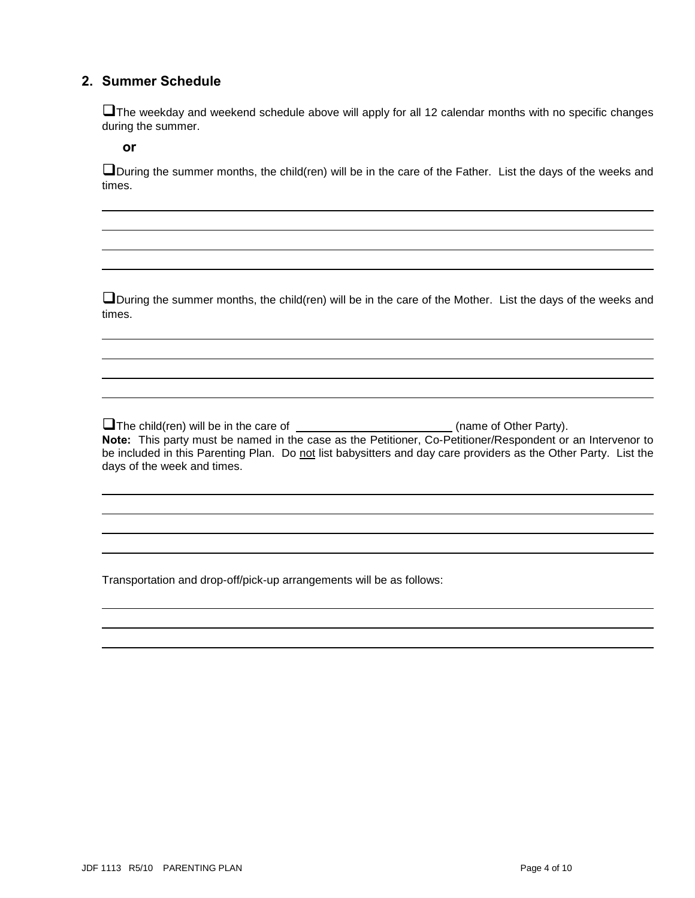### **2. Summer Schedule**

The weekday and weekend schedule above will apply for all 12 calendar months with no specific changes during the summer.

**or** 

 $\ddot{\phantom{a}}$ 

 $\ddot{\phantom{a}}$ 

 $\ddot{\phantom{a}}$ 

l

During the summer months, the child(ren) will be in the care of the Father. List the days of the weeks and times.

During the summer months, the child(ren) will be in the care of the Mother. List the days of the weeks and times.

The child(ren) will be in the care of \_\_\_\_\_\_\_\_\_\_\_\_\_\_\_\_\_\_\_\_\_\_\_\_\_(name of Other Party). **Note:** This party must be named in the case as the Petitioner, Co-Petitioner/Respondent or an Intervenor to be included in this Parenting Plan. Do not list babysitters and day care providers as the Other Party. List the days of the week and times.

Transportation and drop-off/pick-up arrangements will be as follows: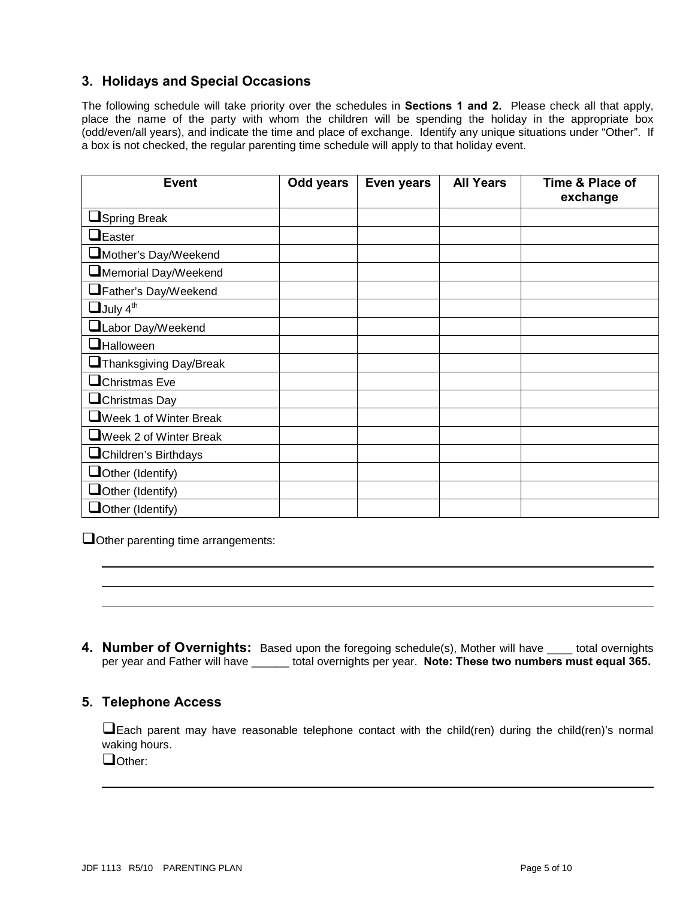### **3. Holidays and Special Occasions**

The following schedule will take priority over the schedules in **Sections 1 and 2.** Please check all that apply, place the name of the party with whom the children will be spending the holiday in the appropriate box (odd/even/all years), and indicate the time and place of exchange. Identify any unique situations under "Other". If a box is not checked, the regular parenting time schedule will apply to that holiday event.

| <b>Event</b>                   | Odd years | Even years | <b>All Years</b> | Time & Place of<br>exchange |
|--------------------------------|-----------|------------|------------------|-----------------------------|
| <b>Spring Break</b>            |           |            |                  |                             |
| $\Box$ Easter                  |           |            |                  |                             |
| Mother's Day/Weekend           |           |            |                  |                             |
| Memorial Day/Weekend           |           |            |                  |                             |
| Father's Day/Weekend           |           |            |                  |                             |
| $\Box$ July 4 <sup>th</sup>    |           |            |                  |                             |
| Labor Day/Weekend              |           |            |                  |                             |
| <b>Halloween</b>               |           |            |                  |                             |
| Thanksgiving Day/Break         |           |            |                  |                             |
| $\Box$ Christmas Eve           |           |            |                  |                             |
| $\Box$ Christmas Day           |           |            |                  |                             |
| <b>OWeek 1 of Winter Break</b> |           |            |                  |                             |
| Week 2 of Winter Break         |           |            |                  |                             |
| <b>L</b> Children's Birthdays  |           |            |                  |                             |
| $\Box$ Other (Identify)        |           |            |                  |                             |
| $\Box$ Other (Identify)        |           |            |                  |                             |
| $\Box$ Other (Identify)        |           |            |                  |                             |

Other parenting time arrangements:

**4. Number of Overnights:** Based upon the foregoing schedule(s), Mother will have \_\_\_\_ total overnights per year and Father will have \_\_\_\_\_\_ total overnights per year. **Note: These two numbers must equal 365.** 

### **5. Telephone Access**

Each parent may have reasonable telephone contact with the child(ren) during the child(ren)'s normal waking hours.

Dother:

 $\ddot{\phantom{a}}$ 

l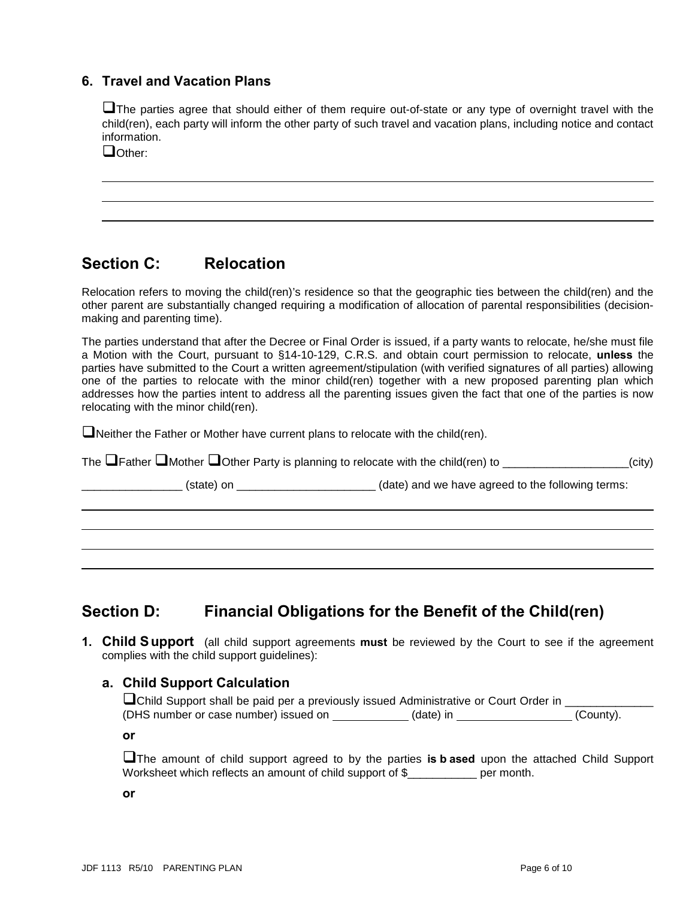### **6. Travel and Vacation Plans**

The parties agree that should either of them require out-of-state or any type of overnight travel with the child(ren), each party will inform the other party of such travel and vacation plans, including notice and contact information.

Other:

 $\ddot{\phantom{a}}$ 

 $\ddot{\phantom{a}}$ 

## **Section C: Relocation**

Relocation refers to moving the child(ren)'s residence so that the geographic ties between the child(ren) and the other parent are substantially changed requiring a modification of allocation of parental responsibilities (decisionmaking and parenting time).

The parties understand that after the Decree or Final Order is issued, if a party wants to relocate, he/she must file a Motion with the Court, pursuant to §14-10-129, C.R.S. and obtain court permission to relocate, **unless** the parties have submitted to the Court a written agreement/stipulation (with verified signatures of all parties) allowing one of the parties to relocate with the minor child(ren) together with a new proposed parenting plan which addresses how the parties intent to address all the parenting issues given the fact that one of the parties is now relocating with the minor child(ren).

Neither the Father or Mother have current plans to relocate with the child(ren).

| The $\Box$ Father $\Box$ Mother $\Box$ Other Party is planning to relocate with the child(ren) to _ | (city)_ |
|-----------------------------------------------------------------------------------------------------|---------|
|                                                                                                     |         |

\_\_\_\_\_\_\_\_\_\_\_\_\_\_\_\_ (state) on \_\_\_\_\_\_\_\_\_\_\_\_\_\_\_\_\_\_\_\_\_\_ (date) and we have agreed to the following terms:

## **Section D: Financial Obligations for the Benefit of the Child(ren)**

**1. Child Support** (all child support agreements **must** be reviewed by the Court to see if the agreement complies with the child support guidelines):

### **a. Child Support Calculation**

| <b>a</b> Child Support shall be paid per a previously issued Administrative or Court Order in |           |           |
|-----------------------------------------------------------------------------------------------|-----------|-----------|
| (DHS number or case number) issued on                                                         | (date) in | (County). |

**or** 

The amount of child support agreed to by the parties **is b ased** upon the attached Child Support Worksheet which reflects an amount of child support of \$\_\_\_\_\_\_\_\_\_\_\_\_ per month.

**or**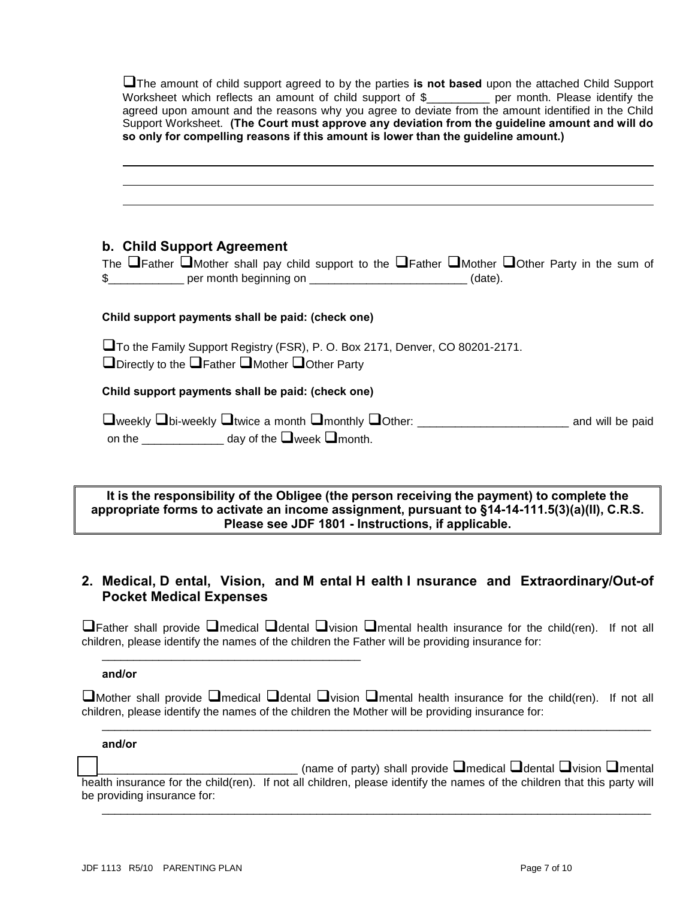| The amount of child support agreed to by the parties is not based upon the attached Child Support<br>Worksheet which reflects an amount of child support of \$___________ per month. Please identify the<br>agreed upon amount and the reasons why you agree to deviate from the amount identified in the Child<br>Support Worksheet. (The Court must approve any deviation from the guideline amount and will do<br>so only for compelling reasons if this amount is lower than the guideline amount.)                       |
|-------------------------------------------------------------------------------------------------------------------------------------------------------------------------------------------------------------------------------------------------------------------------------------------------------------------------------------------------------------------------------------------------------------------------------------------------------------------------------------------------------------------------------|
|                                                                                                                                                                                                                                                                                                                                                                                                                                                                                                                               |
| b. Child Support Agreement<br>The $\Box$ Father $\Box$ Mother shall pay child support to the $\Box$ Father $\Box$ Mother $\Box$ Other Party in the sum of<br>\$________________ per month beginning on _____________________________(date).                                                                                                                                                                                                                                                                                   |
| Child support payments shall be paid: (check one)                                                                                                                                                                                                                                                                                                                                                                                                                                                                             |
| □ To the Family Support Registry (FSR), P. O. Box 2171, Denver, CO 80201-2171.<br>$\Box$ Directly to the $\Box$ Father $\Box$ Mother $\Box$ Other Party                                                                                                                                                                                                                                                                                                                                                                       |
| Child support payments shall be paid: (check one)                                                                                                                                                                                                                                                                                                                                                                                                                                                                             |
| □weekly □bi-weekly □twice a month □monthly □Other: _____________________________ and will be paid<br>on the $\frac{1}{\sqrt{1-\frac{1}{2}}}\frac{1}{\sqrt{1-\frac{1}{2}}}\frac{1}{\sqrt{1-\frac{1}{2}}}\frac{1}{\sqrt{1-\frac{1}{2}}}\frac{1}{\sqrt{1-\frac{1}{2}}}\frac{1}{\sqrt{1-\frac{1}{2}}}\frac{1}{\sqrt{1-\frac{1}{2}}}\frac{1}{\sqrt{1-\frac{1}{2}}}\frac{1}{\sqrt{1-\frac{1}{2}}}\frac{1}{\sqrt{1-\frac{1}{2}}}\frac{1}{\sqrt{1-\frac{1}{2}}}\frac{1}{\sqrt{1-\frac{1}{2}}}\frac{1}{\sqrt{1-\frac{1}{2}}}\frac{1}{$ |

#### **It is the responsibility of the Obligee (the person receiving the payment) to complete the appropriate forms to activate an income assignment, pursuant to §14-14-111.5(3)(a)(II), C.R.S. Please see JDF 1801 - Instructions, if applicable.**

### **2. Medical, D ental, Vision, and M ental H ealth I nsurance and Extraordinary/Out-of Pocket Medical Expenses**

 $\Box$ Father shall provide  $\Box$ medical  $\Box$ dental  $\Box$ vision  $\Box$ mental health insurance for the child(ren). If not all children, please identify the names of the children the Father will be providing insurance for:

#### **and/or**

 $\square$ Mother shall provide  $\square$ medical  $\square$ dental  $\square$ vision  $\square$ mental health insurance for the child(ren). If not all children, please identify the names of the children the Mother will be providing insurance for:

\_\_\_\_\_\_\_\_\_\_\_\_\_\_\_\_\_\_\_\_\_\_\_\_\_\_\_\_\_\_\_\_\_\_\_\_\_\_\_\_\_\_\_\_\_\_\_\_\_\_\_\_\_\_\_\_\_\_\_\_\_\_\_\_\_\_\_\_\_\_\_\_\_\_\_\_\_\_\_\_\_\_\_\_\_\_\_

#### **and/or**

(name of party) shall provide  $\square$  medical  $\square$  dental  $\square$  vision  $\square$  mental health insurance for the child(ren). If not all children, please identify the names of the children that this party will be providing insurance for:

\_\_\_\_\_\_\_\_\_\_\_\_\_\_\_\_\_\_\_\_\_\_\_\_\_\_\_\_\_\_\_\_\_\_\_\_\_\_\_\_\_\_\_\_\_\_\_\_\_\_\_\_\_\_\_\_\_\_\_\_\_\_\_\_\_\_\_\_\_\_\_\_\_\_\_\_\_\_\_\_\_\_\_\_\_\_\_

\_\_\_\_\_\_\_\_\_\_\_\_\_\_\_\_\_\_\_\_\_\_\_\_\_\_\_\_\_\_\_\_\_\_\_\_\_\_\_\_\_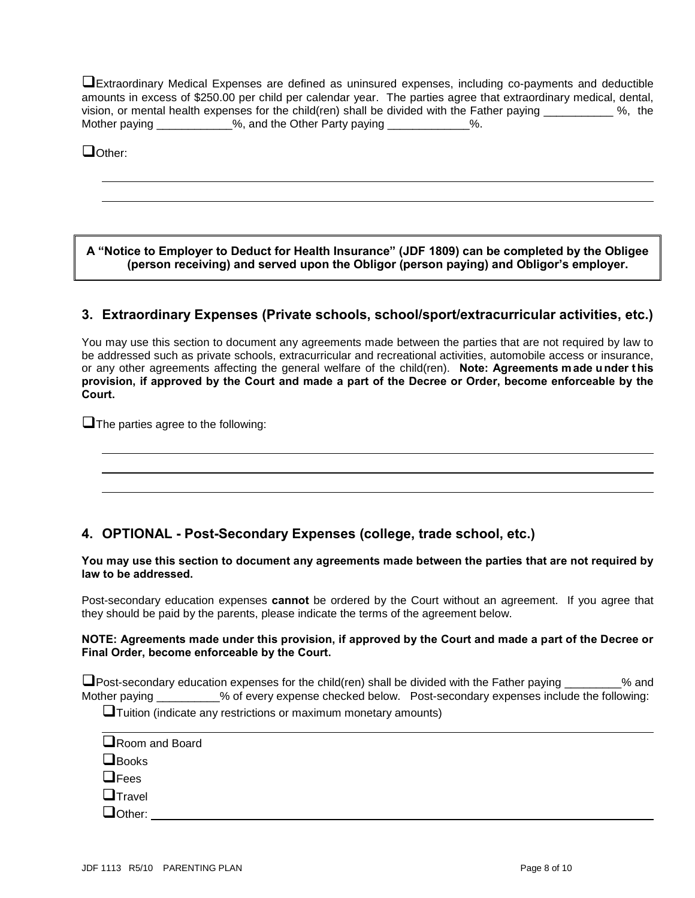Extraordinary Medical Expenses are defined as uninsured expenses, including co-payments and deductible amounts in excess of \$250.00 per child per calendar year. The parties agree that extraordinary medical, dental, vision, or mental health expenses for the child(ren) shall be divided with the Father paying \_\_\_\_\_\_\_\_\_\_\_ %, the Mother paying \_\_\_\_\_\_\_\_\_\_\_%, and the Other Party paying \_\_\_\_\_\_\_\_\_\_\_\_%.

Dother:

 $\overline{\phantom{a}}$ 

 $\overline{\phantom{a}}$ 

 $\overline{\phantom{a}}$ 

**A "Notice to Employer to Deduct for Health Insurance" (JDF 1809) can be completed by the Obligee (person receiving) and served upon the Obligor (person paying) and Obligor's employer.**

#### **3. Extraordinary Expenses (Private schools, school/sport/extracurricular activities, etc.)**

You may use this section to document any agreements made between the parties that are not required by law to be addressed such as private schools, extracurricular and recreational activities, automobile access or insurance, or any other agreements affecting the general welfare of the child(ren). **Note: Agreements made under this provision, if approved by the Court and made a part of the Decree or Order, become enforceable by the Court.**

 $\Box$  The parties agree to the following:

### **4. OPTIONAL - Post-Secondary Expenses (college, trade school, etc.)**

**You may use this section to document any agreements made between the parties that are not required by law to be addressed.** 

Post-secondary education expenses **cannot** be ordered by the Court without an agreement. If you agree that they should be paid by the parents, please indicate the terms of the agreement below.

#### **NOTE: Agreements made under this provision, if approved by the Court and made a part of the Decree or Final Order, become enforceable by the Court.**

**I** Post-secondary education expenses for the child(ren) shall be divided with the Father paying \_\_\_\_\_\_\_\_% and Mother paying  $\%$  of every expense checked below. Post-secondary expenses include the following:

 $\Box$ Tuition (indicate any restrictions or maximum monetary amounts)

| Room and Board |  |  |
|----------------|--|--|
| $\Box$ Books   |  |  |
| $\Box$ Fees    |  |  |
| $\Box$ Travel  |  |  |
| $\Box$ Other:  |  |  |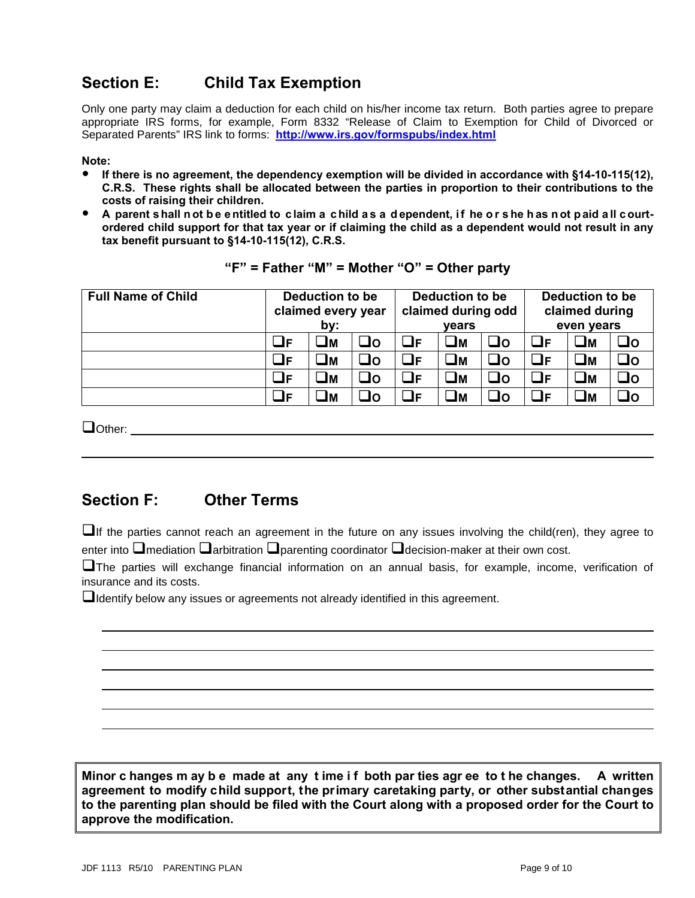# **Section E: Child Tax Exemption**

Only one party may claim a deduction for each child on his/her income tax return. Both parties agree to prepare appropriate IRS forms, for example, Form 8332 "Release of Claim to Exemption for Child of Divorced or Separated Parents" IRS link to forms: **<http://www.irs.gov/formspubs/index.html>**

#### **Note:**

- **If there is no agreement, the dependency exemption will be divided in accordance with §14-10-115(12), C.R.S. These rights shall be allocated between the parties in proportion to their contributions to the costs of raising their children.**
- **A** parent shall not be entitled to claim a child as a dependent, if he or she has not paid all court**ordered child support for that tax year or if claiming the child as a dependent would not result in any tax benefit pursuant to §14-10-115(12), C.R.S.**

| <b>Full Name of Child</b> | Deduction to be<br>claimed every year<br>by: |    |     | Deduction to be<br>claimed during odd<br>vears |          |     | <b>Deduction to be</b><br>claimed during<br>even years |          |     |
|---------------------------|----------------------------------------------|----|-----|------------------------------------------------|----------|-----|--------------------------------------------------------|----------|-----|
|                           | JF                                           | ⊒м | ⊐o  | _IF.                                           | $\Box$ M | Oه  | OF                                                     | コм       | J٥  |
|                           | _lF                                          | Jм | J٥  | JF                                             | Uм       | Oه  | $\mathbf{\mathbf{\mathsf{u}}}_{\mathsf{F}}$            | $\Box$ M | _lo |
|                           | JF                                           | Jм | ⊒o  | JF                                             | UМ       | Oه  | OF                                                     | コм       | ⊒o  |
|                           | ٦F                                           | Jм | Jo. | JF                                             | ⊒м       | ا O | oг                                                     | コм       | JO  |

|  |  |  |  |  | "F" = Father "M" = Mother "O" = Other party |  |  |  |  |
|--|--|--|--|--|---------------------------------------------|--|--|--|--|
|--|--|--|--|--|---------------------------------------------|--|--|--|--|

Other:

 $\overline{\phantom{a}}$ 

 $\overline{\phantom{a}}$ 

## **Section F: Other Terms**

If the parties cannot reach an agreement in the future on any issues involving the child(ren), they agree to enter into  $\square$  mediation  $\square$  arbitration  $\square$  parenting coordinator  $\square$  decision-maker at their own cost.

The parties will exchange financial information on an annual basis, for example, income, verification of insurance and its costs.

 $\Box$ Identify below any issues or agreements not already identified in this agreement.

**Minor c hanges m ay b e made at any t ime i f both par ties agr ee to t he changes. A written agreement to modify child support, the primary caretaking party, or other substantial changes to the parenting plan should be filed with the Court along with a proposed order for the Court to approve the modification.**